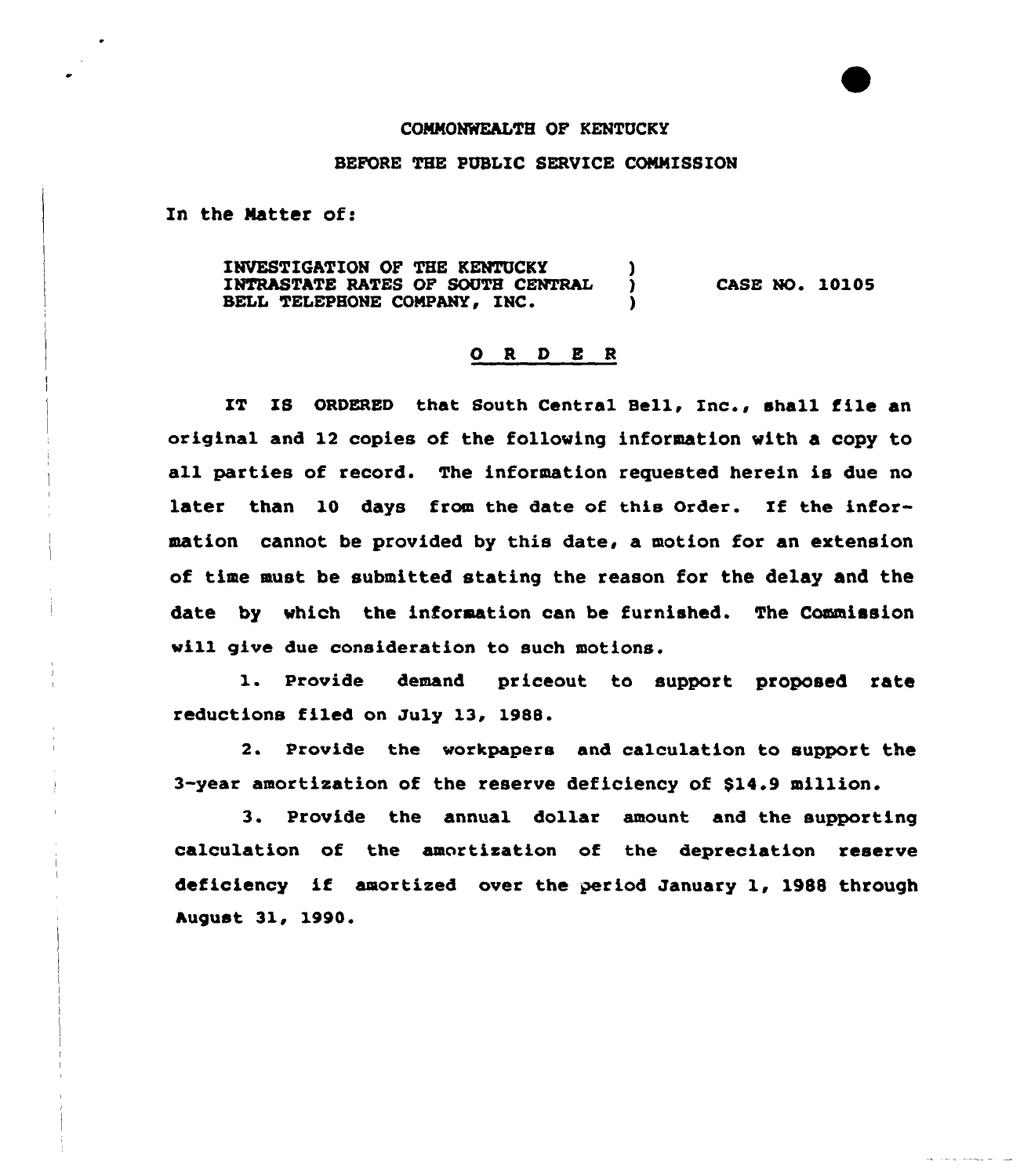## COMMONWEALTH OF KENTUCKY

## BEFORE THE PUBLIC SERVICE CONNISSION

In the Matter of:

INVESTIGATION OF THE KENTUCKY (1997)<br>INTRASTATE RATES OF SOUTH CENTRAL (1997) INTRASTATE RATES OF SOUTH CENTRAL BELL TELEPHONE COMPANY, INC. CASE NO. 10105

## 0 <sup>R</sup> <sup>D</sup> E <sup>R</sup>

IT IS ORDERED that South Central Bell, Inc., shall file an original and 12 copies of the following information with a copy to all parties of record. The information requested herein is due no later than 10 days from the date of this Order. If the information cannot be provided by this date, a motion for an extension of time must be submitted stating the reason for the delay and the date by which the information can be furnished. The Commission will give due consideration to such motions.

1. Provide demand priceout to support proposed rate reductions filed on July 13, 1988.

2. provide the workpapere and calculation to support the 3-year amortisation of the reserve deficiency of \$14.9 million.

3. Provide the annual dollar amount and the supporting calculation of the amortisation of the depreciation reserve deficiency if amortized over the yeriod January 1, <sup>1988</sup> through August 31, 1990.